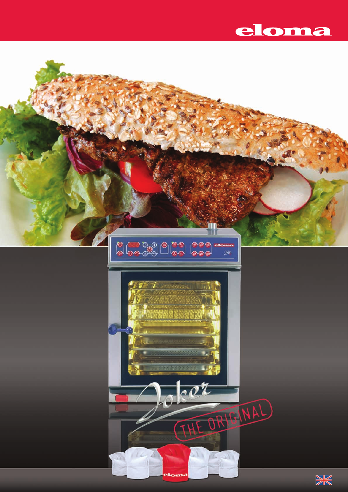

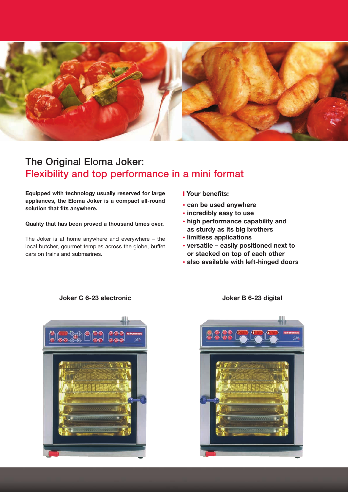

# **The Original Eloma Joker: Flexibility and top performance in a mini format**

**Equipped with technology usually reserved for large appliances, the Eloma Joker is a compact all-round solution that fits anywhere.**

**Quality that has been proved a thousand times over.** 

The Joker is at home anywhere and everywhere – the local butcher, gourmet temples across the globe, buffet cars on trains and submarines.

- ❙ **Your benefits:**
- **can be used anywhere**
- **incredibly easy to use**
- **high performance capability and as sturdy as its big brothers**
- **limitless applications**
- **versatile easily positioned next to or stacked on top of each other**
- **also available with left-hinged doors**



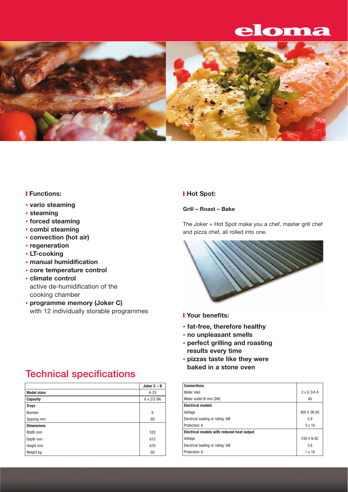# eloma



### ❙ **Functions:**

- **vario steaming**
- **steaming**
- **forced steaming**
- **combi steaming**
- **convection (hot air)**
- **regeneration**
- **LT-cooking**
- **manual humidification**
- **core temperature control**
- **climate control** active de-humidification of the cooking chamber
- **programme memory (Joker C)** with 12 individually storable programmes

# **Technical specifications**

|                    | Joker $C - B$   | <b>Connections</b>   |
|--------------------|-----------------|----------------------|
| <b>Model sizes</b> | $6 - 23$        | Water inlet          |
| Capacity           | 6 x 2/3 GN      | Water outlet         |
| <b>Trays</b>       |                 | <b>Electrical me</b> |
| Number             | $6\phantom{1}6$ | Voltage              |
| Spacing mm         | 60              | Electrical loa       |
| <b>Dimensions</b>  |                 | Protection: A        |
| Width mm           | 520             | Electrical m         |
| Depth mm           | 615             | Voltage              |
| Height mm          | 670             | Electrical loa       |
| Weight kg          | 60              | Protection: A        |

### ❙ **Hot Spot:**

**Grill – Roast – Bake** 

The Joker + Hot Spot make you a chef, master grill chef and pizza chef, all rolled into one.



- ❙ **Your benefits:**
- **fat-free, therefore healthy**
- **no unpleasant smells**
- **perfect grilling and roasting results every time**
- **pizzas taste like they were baked in a stone oven**

| <b>Connections</b>                         |                    |
|--------------------------------------------|--------------------|
| Water inlet                                | $2 \times G$ 3/4 A |
| Water outlet Ø mm (DN)                     | 40                 |
| <b>Electrical models</b>                   |                    |
| Voltage                                    | 400 V 3N AC        |
| Electrical loading or rating: kW           | 5,9                |
| Protection: A                              | 3x16               |
| Electrical models with reduced heat output |                    |
| Voltage                                    | 230 V N AC         |
| Electrical loading or rating: kW           | 3,6                |
| Protection: A                              | $1 \times 16$      |